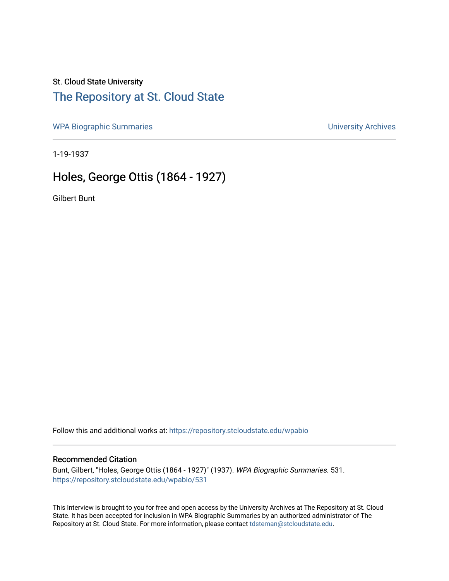### St. Cloud State University

# [The Repository at St. Cloud State](https://repository.stcloudstate.edu/)

[WPA Biographic Summaries](https://repository.stcloudstate.edu/wpabio) **WPA Biographic Summaries University Archives** 

1-19-1937

# Holes, George Ottis (1864 - 1927)

Gilbert Bunt

Follow this and additional works at: [https://repository.stcloudstate.edu/wpabio](https://repository.stcloudstate.edu/wpabio?utm_source=repository.stcloudstate.edu%2Fwpabio%2F531&utm_medium=PDF&utm_campaign=PDFCoverPages) 

#### Recommended Citation

Bunt, Gilbert, "Holes, George Ottis (1864 - 1927)" (1937). WPA Biographic Summaries. 531. [https://repository.stcloudstate.edu/wpabio/531](https://repository.stcloudstate.edu/wpabio/531?utm_source=repository.stcloudstate.edu%2Fwpabio%2F531&utm_medium=PDF&utm_campaign=PDFCoverPages) 

This Interview is brought to you for free and open access by the University Archives at The Repository at St. Cloud State. It has been accepted for inclusion in WPA Biographic Summaries by an authorized administrator of The Repository at St. Cloud State. For more information, please contact [tdsteman@stcloudstate.edu.](mailto:tdsteman@stcloudstate.edu)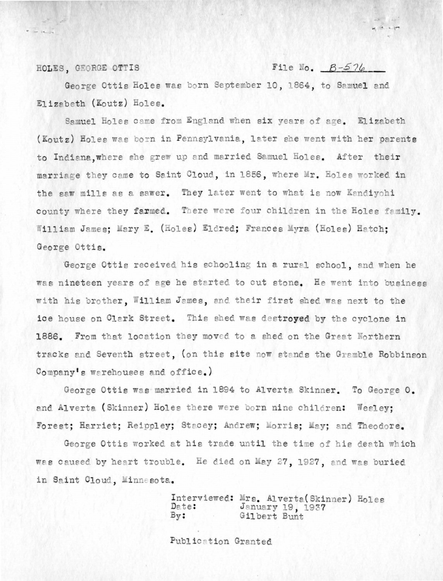#### File No.  $B-576$

 $-12.19$ 

HOLES, GEORGE OTTIS

George Ottis Holes was born September 10, 1864, to Samuel and Elizabeth (Koutz) Holes.

Samuel Holes came from England when six years of age. Elizabeth (Koutz) Holes was born in Pennsylvania, later she went with her parents to Indiana. where she grew up and married Samuel Holes. After their marriage they came to Saint Cloud, in 1856, where Mr. Holes worked in the saw mills as a sawer. They later went to what is now Kandiyohi county where they farmed. There were four children in the Holes family. William James; Mary E. (Holes) Eldred; Frances Myra (Holes) Hatch; George Ottis.

George Ottis received his schooling in a rural school, and when he was nineteen years of age he started to cut stone. He went into business with his brother, William James, and their first shed was next to the ice house on Clark Street. This shed was destroyed by the cyclone in 1886. From that location they moved to a shed on the Great Northern tracks and Seventh street, (on this site now stands the Gramble Robbinson Company's warehouses and office.)

George Ottis was married in 1894 to Alverta Skinner. To George O. and Alverta (Skinner) Holes there were born nine children: Wesley: Forest; Harriet; Reippley; Stacey; Andrew; Morris; May; and Theodore.

George Ottis worked at his trade until the time of his death which was caused by heart trouble. He died on May 27, 1927, and was buried in Saint Cloud, Minnesota.

> Interviewed: Mrs. Alverta(Skinner) Holes January 19, 1937<br>Gilbert Bunt Date:  $By:$

Publication Granted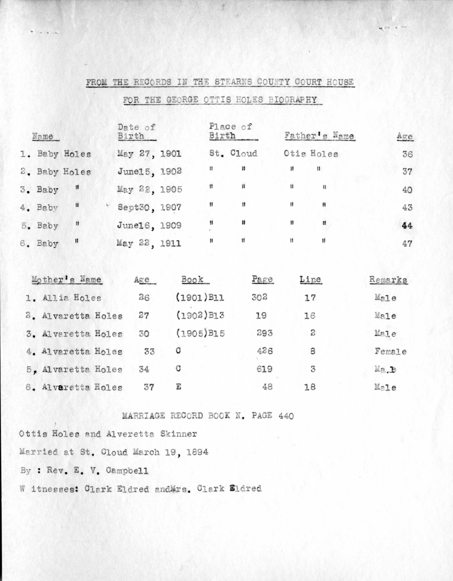| Name    |               | Date of<br>Birth |    | Place of<br>Birth    |              | Father's Name | Age |
|---------|---------------|------------------|----|----------------------|--------------|---------------|-----|
|         | 1. Baby Holes | May 27, 1901     |    | St. Cloud            |              | Otis Holes    | 36  |
|         | 2. Baby Holes | June15, 1902     | Ħ  | Ħ                    | $\mathbf{H}$ | 11            | 37  |
| 3. Baby | $\mathbf{H}$  | May 22, 1905     | Ħ  | 98                   | 拝            | $^{\dagger}$  | 40  |
| 4. Baby | $\mathbf{ii}$ | Sept30, 1907     | 8  | Ħ                    | Ħ            |               | 43  |
| 5. Baby | Ħ             | June16, 1909     | 98 | Ħ                    | Ħ            | 11            | 44  |
| 6. Baby | H             | May 22, 1911     | Ħ  | $\pmb{\mathfrak{y}}$ | 11           | 11            | 47  |

|  | FROM THE RECORDS IN THE STEARNS COUNTY COURT HOUSE |  |  |  |
|--|----------------------------------------------------|--|--|--|
|  |                                                    |  |  |  |

FOR THE GEORGE OTTIS HOLES BIOGRAPHY

| Mother's Name      | Age | <b>Book</b>              | Page | Line | Remarks           |
|--------------------|-----|--------------------------|------|------|-------------------|
| 1. Allia Holes     | 26  | $(1901)$ $B11$           | 302  | 17   | Male              |
| 2. Alvaretta Holes | 27  | $(1902)$ B13             | 19   | 16   | Male              |
| 3. Alvaretta Holes | 30  | $(1905)$ B <sub>15</sub> | 293  | 2    | Male              |
| 4. Alvaretta Holes | 33  | c                        | 426  | 8    | Female            |
| 5. Alvaretta Holes | 34  |                          | 619  | 3    | Ma <sub>.</sub> b |
| 6. Alvaretta Holes |     |                          | 48   | 18   | $M = 7e$          |

MARRIAGE RECORD BOOK N. PAGE 440

Ottis Holes and Alveretta Skinner Married at St. Cloud March 19, 1894 By : Rev. E. V. Campbell W itnesses: Clark Eldred andMrs. Clark Eldred